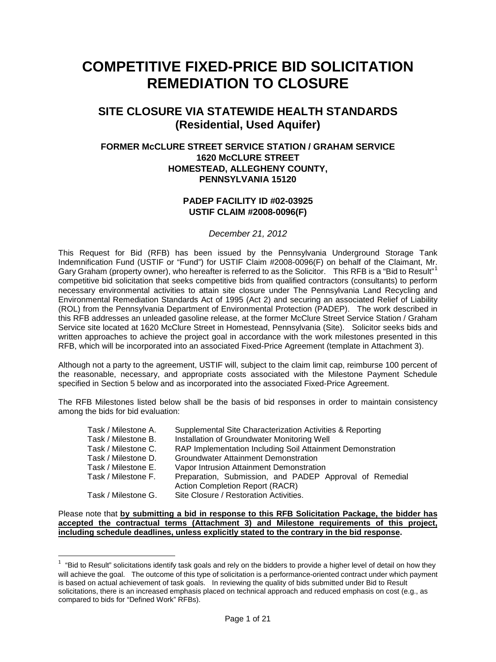# **COMPETITIVE FIXED-PRICE BID SOLICITATION REMEDIATION TO CLOSURE**

# **SITE CLOSURE VIA STATEWIDE HEALTH STANDARDS (Residential, Used Aquifer)**

# **FORMER McCLURE STREET SERVICE STATION / GRAHAM SERVICE 1620 McCLURE STREET HOMESTEAD, ALLEGHENY COUNTY, PENNSYLVANIA 15120**

# **PADEP FACILITY ID #02-03925 USTIF CLAIM #2008-0096(F)**

#### *December 21, 2012*

This Request for Bid (RFB) has been issued by the Pennsylvania Underground Storage Tank Indemnification Fund (USTIF or "Fund") for USTIF Claim #2008-0096(F) on behalf of the Claimant, Mr. Gary Graham (property owner), who hereafter is referred to as the Solicitor. This RFB is a "Bid to Result"<sup>[1](#page-0-0)</sup> competitive bid solicitation that seeks competitive bids from qualified contractors (consultants) to perform necessary environmental activities to attain site closure under The Pennsylvania Land Recycling and Environmental Remediation Standards Act of 1995 (Act 2) and securing an associated Relief of Liability (ROL) from the Pennsylvania Department of Environmental Protection (PADEP). The work described in this RFB addresses an unleaded gasoline release, at the former McClure Street Service Station / Graham Service site located at 1620 McClure Street in Homestead, Pennsylvania (Site). Solicitor seeks bids and written approaches to achieve the project goal in accordance with the work milestones presented in this RFB, which will be incorporated into an associated Fixed-Price Agreement (template in Attachment 3).

Although not a party to the agreement, USTIF will, subject to the claim limit cap, reimburse 100 percent of the reasonable, necessary, and appropriate costs associated with the Milestone Payment Schedule specified in Section 5 below and as incorporated into the associated Fixed-Price Agreement.

The RFB Milestones listed below shall be the basis of bid responses in order to maintain consistency among the bids for bid evaluation:

| Task / Milestone A. | Supplemental Site Characterization Activities & Reporting                                         |
|---------------------|---------------------------------------------------------------------------------------------------|
| Task / Milestone B. | Installation of Groundwater Monitoring Well                                                       |
| Task / Milestone C. | RAP Implementation Including Soil Attainment Demonstration                                        |
| Task / Milestone D. | Groundwater Attainment Demonstration                                                              |
| Task / Milestone E. | Vapor Intrusion Attainment Demonstration                                                          |
| Task / Milestone F. | Preparation, Submission, and PADEP Approval of Remedial<br><b>Action Completion Report (RACR)</b> |
| Task / Milestone G. | Site Closure / Restoration Activities.                                                            |

#### Please note that **by submitting a bid in response to this RFB Solicitation Package, the bidder has accepted the contractual terms (Attachment 3) and Milestone requirements of this project, including schedule deadlines, unless explicitly stated to the contrary in the bid response.**

 $\overline{a}$ 

<span id="page-0-0"></span> $1$  "Bid to Result" solicitations identify task goals and rely on the bidders to provide a higher level of detail on how they will achieve the goal. The outcome of this type of solicitation is a performance-oriented contract under which payment is based on actual achievement of task goals. In reviewing the quality of bids submitted under Bid to Result solicitations, there is an increased emphasis placed on technical approach and reduced emphasis on cost (e.g., as compared to bids for "Defined Work" RFBs).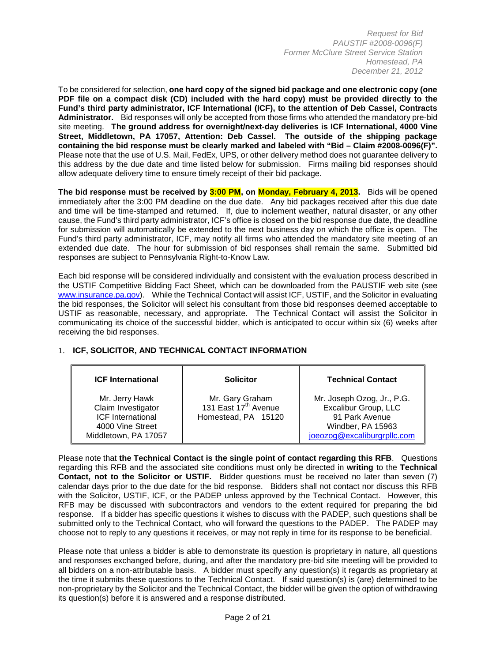To be considered for selection, **one hard copy of the signed bid package and one electronic copy (one PDF file on a compact disk (CD) included with the hard copy) must be provided directly to the Fund's third party administrator, ICF International (ICF), to the attention of Deb Cassel, Contracts Administrator.** Bid responses will only be accepted from those firms who attended the mandatory pre-bid site meeting. **The ground address for overnight/next-day deliveries is ICF International, 4000 Vine Street, Middletown, PA 17057, Attention: Deb Cassel. The outside of the shipping package containing the bid response must be clearly marked and labeled with "Bid – Claim #2008-0096(F)".** Please note that the use of U.S. Mail, FedEx, UPS, or other delivery method does not guarantee delivery to this address by the due date and time listed below for submission. Firms mailing bid responses should allow adequate delivery time to ensure timely receipt of their bid package.

**The bid response must be received by 3:00 PM, on Monday, February 4, 2013.** Bids will be opened immediately after the 3:00 PM deadline on the due date. Any bid packages received after this due date and time will be time-stamped and returned. If, due to inclement weather, natural disaster, or any other cause, the Fund's third party administrator, ICF's office is closed on the bid response due date, the deadline for submission will automatically be extended to the next business day on which the office is open. The Fund's third party administrator, ICF, may notify all firms who attended the mandatory site meeting of an extended due date. The hour for submission of bid responses shall remain the same. Submitted bid responses are subject to Pennsylvania Right-to-Know Law.

Each bid response will be considered individually and consistent with the evaluation process described in the USTIF Competitive Bidding Fact Sheet, which can be downloaded from the PAUSTIF web site (see www.insurance.pa.gov). While the Technical Contact will assist ICF, USTIF, and the Solicitor in evaluating the bid responses, the Solicitor will select his consultant from those bid responses deemed acceptable to USTIF as reasonable, necessary, and appropriate. The Technical Contact will assist the Solicitor in communicating its choice of the successful bidder, which is anticipated to occur within six (6) weeks after receiving the bid responses.

| <b>ICF International</b>                                                                                     | <b>Solicitor</b>                                                           | <b>Technical Contact</b>                                                                                                 |
|--------------------------------------------------------------------------------------------------------------|----------------------------------------------------------------------------|--------------------------------------------------------------------------------------------------------------------------|
| Mr. Jerry Hawk<br>Claim Investigator<br><b>ICF</b> International<br>4000 Vine Street<br>Middletown, PA 17057 | Mr. Gary Graham<br>131 East 17 <sup>th</sup> Avenue<br>Homestead, PA 15120 | Mr. Joseph Ozog, Jr., P.G.<br>Excalibur Group, LLC<br>91 Park Avenue<br>Windber, PA 15963<br>joeozog@excaliburgrpllc.com |

# 1. **ICF, SOLICITOR, AND TECHNICAL CONTACT INFORMATION**

Please note that **the Technical Contact is the single point of contact regarding this RFB**. Questions regarding this RFB and the associated site conditions must only be directed in **writing** to the **Technical Contact, not to the Solicitor or USTIF.** Bidder questions must be received no later than seven (7) calendar days prior to the due date for the bid response. Bidders shall not contact nor discuss this RFB with the Solicitor, USTIF, ICF, or the PADEP unless approved by the Technical Contact. However, this RFB may be discussed with subcontractors and vendors to the extent required for preparing the bid response. If a bidder has specific questions it wishes to discuss with the PADEP, such questions shall be submitted only to the Technical Contact, who will forward the questions to the PADEP. The PADEP may choose not to reply to any questions it receives, or may not reply in time for its response to be beneficial.

Please note that unless a bidder is able to demonstrate its question is proprietary in nature, all questions and responses exchanged before, during, and after the mandatory pre-bid site meeting will be provided to all bidders on a non-attributable basis. A bidder must specify any question(s) it regards as proprietary at the time it submits these questions to the Technical Contact. If said question(s) is (are) determined to be non-proprietary by the Solicitor and the Technical Contact, the bidder will be given the option of withdrawing its question(s) before it is answered and a response distributed.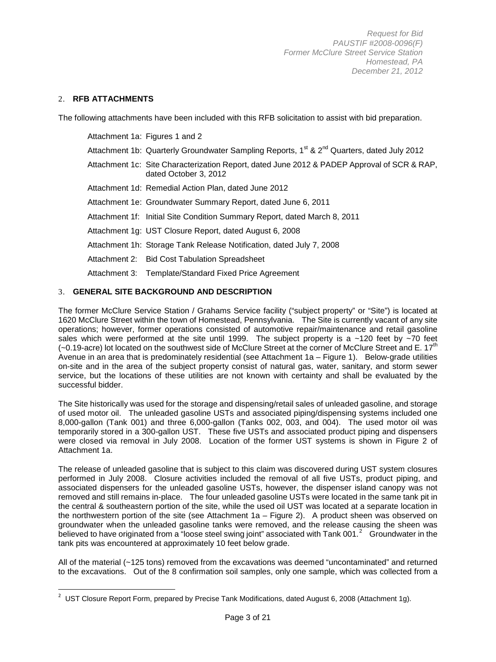# 2. **RFB ATTACHMENTS**

l

The following attachments have been included with this RFB solicitation to assist with bid preparation.

| Attachment 1a: Figures 1 and 2                                                                                       |
|----------------------------------------------------------------------------------------------------------------------|
| Attachment 1b: Quarterly Groundwater Sampling Reports, 1 <sup>st</sup> & 2 <sup>nd</sup> Quarters, dated July 2012   |
| Attachment 1c: Site Characterization Report, dated June 2012 & PADEP Approval of SCR & RAP,<br>dated October 3, 2012 |
| Attachment 1d: Remedial Action Plan, dated June 2012                                                                 |
| Attachment 1e: Groundwater Summary Report, dated June 6, 2011                                                        |
| Attachment 1f: Initial Site Condition Summary Report, dated March 8, 2011                                            |
| Attachment 1g: UST Closure Report, dated August 6, 2008                                                              |
| Attachment 1h: Storage Tank Release Notification, dated July 7, 2008                                                 |
| Attachment 2: Bid Cost Tabulation Spreadsheet                                                                        |
| Attachment 3: Template/Standard Fixed Price Agreement                                                                |

# 3. **GENERAL SITE BACKGROUND AND DESCRIPTION**

The former McClure Service Station / Grahams Service facility ("subject property" or "Site") is located at 1620 McClure Street within the town of Homestead, Pennsylvania. The Site is currently vacant of any site operations; however, former operations consisted of automotive repair/maintenance and retail gasoline sales which were performed at the site until 1999. The subject property is a  $\sim$ 120 feet by  $\sim$ 70 feet  $(-0.19\text{-}a)$  lot located on the southwest side of McClure Street at the corner of McClure Street and E. 17<sup>th</sup> Avenue in an area that is predominately residential (see Attachment 1a – Figure 1). Below-grade utilities on-site and in the area of the subject property consist of natural gas, water, sanitary, and storm sewer service, but the locations of these utilities are not known with certainty and shall be evaluated by the successful bidder.

The Site historically was used for the storage and dispensing/retail sales of unleaded gasoline, and storage of used motor oil. The unleaded gasoline USTs and associated piping/dispensing systems included one 8,000-gallon (Tank 001) and three 6,000-gallon (Tanks 002, 003, and 004). The used motor oil was temporarily stored in a 300-gallon UST. These five USTs and associated product piping and dispensers were closed via removal in July 2008. Location of the former UST systems is shown in Figure 2 of Attachment 1a.

The release of unleaded gasoline that is subject to this claim was discovered during UST system closures performed in July 2008. Closure activities included the removal of all five USTs, product piping, and associated dispensers for the unleaded gasoline USTs, however, the dispenser island canopy was not removed and still remains in-place. The four unleaded gasoline USTs were located in the same tank pit in the central & southeastern portion of the site, while the used oil UST was located at a separate location in the northwestern portion of the site (see Attachment 1a – Figure 2). A product sheen was observed on groundwater when the unleaded gasoline tanks were removed, and the release causing the sheen was believed to have originated from a "loose steel swing joint" associated with Tank 001.<sup>[2](#page-2-0)</sup> Groundwater in the tank pits was encountered at approximately 10 feet below grade.

All of the material (~125 tons) removed from the excavations was deemed "uncontaminated" and returned to the excavations. Out of the 8 confirmation soil samples, only one sample, which was collected from a

<span id="page-2-0"></span><sup>&</sup>lt;sup>2</sup> UST Closure Report Form, prepared by Precise Tank Modifications, dated August 6, 2008 (Attachment 1g).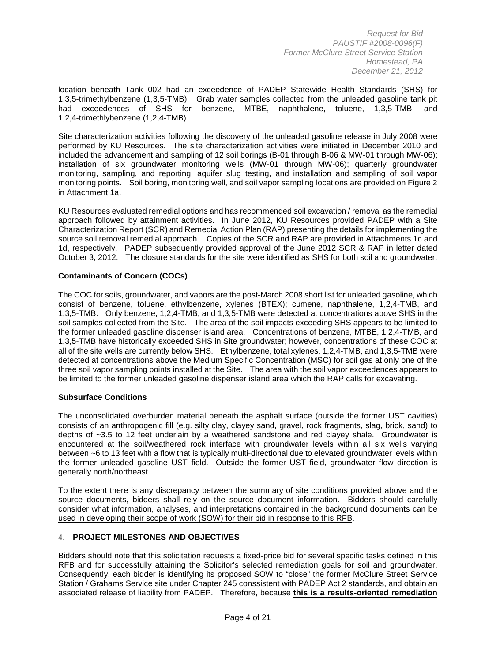location beneath Tank 002 had an exceedence of PADEP Statewide Health Standards (SHS) for 1,3,5-trimethylbenzene (1,3,5-TMB). Grab water samples collected from the unleaded gasoline tank pit had exceedences of SHS for benzene, MTBE, naphthalene, toluene, 1,3,5-TMB, and 1,2,4-trimethlybenzene (1,2,4-TMB).

Site characterization activities following the discovery of the unleaded gasoline release in July 2008 were performed by KU Resources. The site characterization activities were initiated in December 2010 and included the advancement and sampling of 12 soil borings (B-01 through B-06 & MW-01 through MW-06); installation of six groundwater monitoring wells (MW-01 through MW-06); quarterly groundwater monitoring, sampling, and reporting; aquifer slug testing, and installation and sampling of soil vapor monitoring points. Soil boring, monitoring well, and soil vapor sampling locations are provided on Figure 2 in Attachment 1a.

KU Resources evaluated remedial options and has recommended soil excavation / removal as the remedial approach followed by attainment activities. In June 2012, KU Resources provided PADEP with a Site Characterization Report (SCR) and Remedial Action Plan (RAP) presenting the details for implementing the source soil removal remedial approach. Copies of the SCR and RAP are provided in Attachments 1c and 1d, respectively. PADEP subsequently provided approval of the June 2012 SCR & RAP in letter dated October 3, 2012. The closure standards for the site were identified as SHS for both soil and groundwater.

# **Contaminants of Concern (COCs)**

The COC for soils, groundwater, and vapors are the post-March 2008 short list for unleaded gasoline, which consist of benzene, toluene, ethylbenzene, xylenes (BTEX); cumene, naphthalene, 1,2,4-TMB, and 1,3,5-TMB. Only benzene, 1,2,4-TMB, and 1,3,5-TMB were detected at concentrations above SHS in the soil samples collected from the Site. The area of the soil impacts exceeding SHS appears to be limited to the former unleaded gasoline dispenser island area. Concentrations of benzene, MTBE, 1,2,4-TMB, and 1,3,5-TMB have historically exceeded SHS in Site groundwater; however, concentrations of these COC at all of the site wells are currently below SHS. Ethylbenzene, total xylenes, 1,2,4-TMB, and 1,3,5-TMB were detected at concentrations above the Medium Specific Concentration (MSC) for soil gas at only one of the three soil vapor sampling points installed at the Site. The area with the soil vapor exceedences appears to be limited to the former unleaded gasoline dispenser island area which the RAP calls for excavating.

#### **Subsurface Conditions**

The unconsolidated overburden material beneath the asphalt surface (outside the former UST cavities) consists of an anthropogenic fill (e.g. silty clay, clayey sand, gravel, rock fragments, slag, brick, sand) to depths of ~3.5 to 12 feet underlain by a weathered sandstone and red clayey shale. Groundwater is encountered at the soil/weathered rock interface with groundwater levels within all six wells varying between ~6 to 13 feet with a flow that is typically multi-directional due to elevated groundwater levels within the former unleaded gasoline UST field. Outside the former UST field, groundwater flow direction is generally north/northeast.

To the extent there is any discrepancy between the summary of site conditions provided above and the source documents, bidders shall rely on the source document information. Bidders should carefully consider what information, analyses, and interpretations contained in the background documents can be used in developing their scope of work (SOW) for their bid in response to this RFB.

# 4. **PROJECT MILESTONES AND OBJECTIVES**

Bidders should note that this solicitation requests a fixed-price bid for several specific tasks defined in this RFB and for successfully attaining the Solicitor's selected remediation goals for soil and groundwater. Consequently, each bidder is identifying its proposed SOW to "close" the former McClure Street Service Station / Grahams Service site under Chapter 245 conssistent with PADEP Act 2 standards, and obtain an associated release of liability from PADEP. Therefore, because **this is a results-oriented remediation**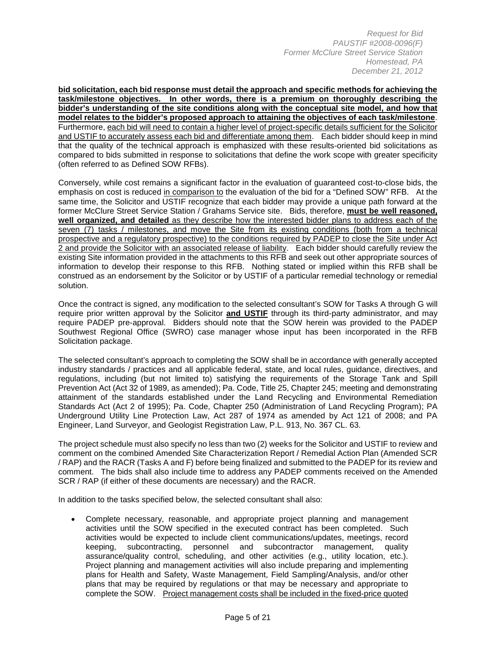**bid solicitation, each bid response must detail the approach and specific methods for achieving the task/milestone objectives. In other words, there is a premium on thoroughly describing the bidder's understanding of the site conditions along with the conceptual site model, and how that model relates to the bidder's proposed approach to attaining the objectives of each task/milestone**. Furthermore, each bid will need to contain a higher level of project-specific details sufficient for the Solicitor and USTIF to accurately assess each bid and differentiate among them. Each bidder should keep in mind that the quality of the technical approach is emphasized with these results-oriented bid solicitations as compared to bids submitted in response to solicitations that define the work scope with greater specificity (often referred to as Defined SOW RFBs).

Conversely, while cost remains a significant factor in the evaluation of guaranteed cost-to-close bids, the emphasis on cost is reduced in comparison to the evaluation of the bid for a "Defined SOW" RFB. At the same time, the Solicitor and USTIF recognize that each bidder may provide a unique path forward at the former McClure Street Service Station / Grahams Service site. Bids, therefore, **must be well reasoned, well organized, and detailed** as they describe how the interested bidder plans to address each of the seven (7) tasks / milestones, and move the Site from its existing conditions (both from a technical prospective and a regulatory prospective) to the conditions required by PADEP to close the Site under Act 2 and provide the Solicitor with an associated release of liability. Each bidder should carefully review the existing Site information provided in the attachments to this RFB and seek out other appropriate sources of information to develop their response to this RFB. Nothing stated or implied within this RFB shall be construed as an endorsement by the Solicitor or by USTIF of a particular remedial technology or remedial solution.

Once the contract is signed, any modification to the selected consultant's SOW for Tasks A through G will require prior written approval by the Solicitor **and USTIF** through its third-party administrator, and may require PADEP pre-approval. Bidders should note that the SOW herein was provided to the PADEP Southwest Regional Office (SWRO) case manager whose input has been incorporated in the RFB Solicitation package.

The selected consultant's approach to completing the SOW shall be in accordance with generally accepted industry standards / practices and all applicable federal, state, and local rules, guidance, directives, and regulations, including (but not limited to) satisfying the requirements of the Storage Tank and Spill Prevention Act (Act 32 of 1989, as amended); Pa. Code, Title 25, Chapter 245; meeting and demonstrating attainment of the standards established under the Land Recycling and Environmental Remediation Standards Act (Act 2 of 1995); Pa. Code, Chapter 250 (Administration of Land Recycling Program); PA Underground Utility Line Protection Law, Act 287 of 1974 as amended by Act 121 of 2008; and PA Engineer, Land Surveyor, and Geologist Registration Law, P.L. 913, No. 367 CL. 63.

The project schedule must also specify no less than two (2) weeks for the Solicitor and USTIF to review and comment on the combined Amended Site Characterization Report / Remedial Action Plan (Amended SCR / RAP) and the RACR (Tasks A and F) before being finalized and submitted to the PADEP for its review and comment. The bids shall also include time to address any PADEP comments received on the Amended SCR / RAP (if either of these documents are necessary) and the RACR.

In addition to the tasks specified below, the selected consultant shall also:

• Complete necessary, reasonable, and appropriate project planning and management activities until the SOW specified in the executed contract has been completed. Such activities would be expected to include client communications/updates, meetings, record keeping, subcontracting, personnel and subcontractor management, quality assurance/quality control, scheduling, and other activities (e.g., utility location, etc.). Project planning and management activities will also include preparing and implementing plans for Health and Safety, Waste Management, Field Sampling/Analysis, and/or other plans that may be required by regulations or that may be necessary and appropriate to complete the SOW. Project management costs shall be included in the fixed-price quoted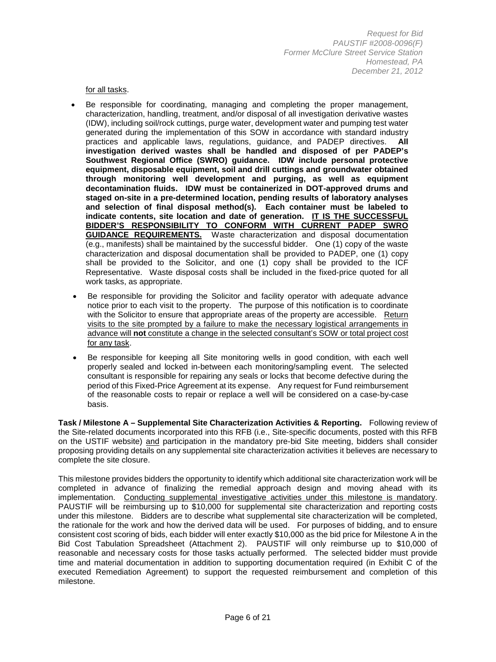for all tasks.

- Be responsible for coordinating, managing and completing the proper management, characterization, handling, treatment, and/or disposal of all investigation derivative wastes (IDW), including soil/rock cuttings, purge water, development water and pumping test water generated during the implementation of this SOW in accordance with standard industry practices and applicable laws, regulations, guidance, and PADEP directives. **All investigation derived wastes shall be handled and disposed of per PADEP's Southwest Regional Office (SWRO) guidance. IDW include personal protective equipment, disposable equipment, soil and drill cuttings and groundwater obtained through monitoring well development and purging, as well as equipment decontamination fluids. IDW must be containerized in DOT-approved drums and staged on-site in a pre-determined location, pending results of laboratory analyses and selection of final disposal method(s). Each container must be labeled to indicate contents, site location and date of generation. IT IS THE SUCCESSFUL BIDDER'S RESPONSIBILITY TO CONFORM WITH CURRENT PADEP SWRO GUIDANCE REQUIREMENTS.** Waste characterization and disposal documentation (e.g., manifests) shall be maintained by the successful bidder. One (1) copy of the waste characterization and disposal documentation shall be provided to PADEP, one (1) copy shall be provided to the Solicitor, and one (1) copy shall be provided to the ICF Representative. Waste disposal costs shall be included in the fixed-price quoted for all work tasks, as appropriate.
- Be responsible for providing the Solicitor and facility operator with adequate advance notice prior to each visit to the property. The purpose of this notification is to coordinate with the Solicitor to ensure that appropriate areas of the property are accessible. Return visits to the site prompted by a failure to make the necessary logistical arrangements in advance will **not** constitute a change in the selected consultant's SOW or total project cost for any task.
- Be responsible for keeping all Site monitoring wells in good condition, with each well properly sealed and locked in-between each monitoring/sampling event. The selected consultant is responsible for repairing any seals or locks that become defective during the period of this Fixed-Price Agreement at its expense. Any request for Fund reimbursement of the reasonable costs to repair or replace a well will be considered on a case-by-case basis.

**Task / Milestone A – Supplemental Site Characterization Activities & Reporting.** Following review of the Site-related documents incorporated into this RFB (i.e., Site-specific documents, posted with this RFB on the USTIF website) and participation in the mandatory pre-bid Site meeting, bidders shall consider proposing providing details on any supplemental site characterization activities it believes are necessary to complete the site closure.

This milestone provides bidders the opportunity to identify which additional site characterization work will be completed in advance of finalizing the remedial approach design and moving ahead with its implementation. Conducting supplemental investigative activities under this milestone is mandatory. PAUSTIF will be reimbursing up to \$10,000 for supplemental site characterization and reporting costs under this milestone. Bidders are to describe what supplemental site characterization will be completed, the rationale for the work and how the derived data will be used. For purposes of bidding, and to ensure consistent cost scoring of bids, each bidder will enter exactly \$10,000 as the bid price for Milestone A in the Bid Cost Tabulation Spreadsheet (Attachment 2). PAUSTIF will only reimburse up to \$10,000 of reasonable and necessary costs for those tasks actually performed. The selected bidder must provide time and material documentation in addition to supporting documentation required (in Exhibit C of the executed Remediation Agreement) to support the requested reimbursement and completion of this milestone.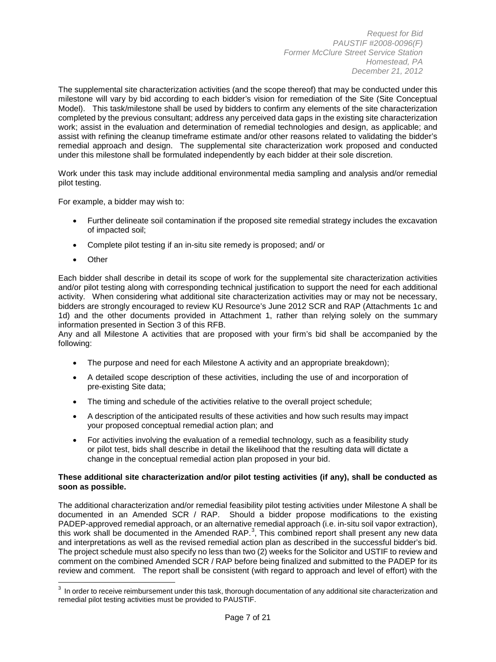The supplemental site characterization activities (and the scope thereof) that may be conducted under this milestone will vary by bid according to each bidder's vision for remediation of the Site (Site Conceptual Model). This task/milestone shall be used by bidders to confirm any elements of the site characterization completed by the previous consultant; address any perceived data gaps in the existing site characterization work; assist in the evaluation and determination of remedial technologies and design, as applicable; and assist with refining the cleanup timeframe estimate and/or other reasons related to validating the bidder's remedial approach and design. The supplemental site characterization work proposed and conducted under this milestone shall be formulated independently by each bidder at their sole discretion.

Work under this task may include additional environmental media sampling and analysis and/or remedial pilot testing.

For example, a bidder may wish to:

- Further delineate soil contamination if the proposed site remedial strategy includes the excavation of impacted soil;
- Complete pilot testing if an in-situ site remedy is proposed; and/ or
- **Other**

 $\overline{\phantom{a}}$ 

Each bidder shall describe in detail its scope of work for the supplemental site characterization activities and/or pilot testing along with corresponding technical justification to support the need for each additional activity. When considering what additional site characterization activities may or may not be necessary, bidders are strongly encouraged to review KU Resource's June 2012 SCR and RAP (Attachments 1c and 1d) and the other documents provided in Attachment 1, rather than relying solely on the summary information presented in Section 3 of this RFB.

Any and all Milestone A activities that are proposed with your firm's bid shall be accompanied by the following:

- The purpose and need for each Milestone A activity and an appropriate breakdown);
- A detailed scope description of these activities, including the use of and incorporation of pre-existing Site data;
- The timing and schedule of the activities relative to the overall project schedule;
- A description of the anticipated results of these activities and how such results may impact your proposed conceptual remedial action plan; and
- For activities involving the evaluation of a remedial technology, such as a feasibility study or pilot test, bids shall describe in detail the likelihood that the resulting data will dictate a change in the conceptual remedial action plan proposed in your bid.

#### **These additional site characterization and/or pilot testing activities (if any), shall be conducted as soon as possible.**

The additional characterization and/or remedial feasibility pilot testing activities under Milestone A shall be documented in an Amended SCR / RAP. Should a bidder propose modifications to the existing PADEP-approved remedial approach, or an alternative remedial approach (i.e. in-situ soil vapor extraction), this work shall be documented in the Amended RAP.<sup>[3](#page-6-0)</sup>, This combined report shall present any new data and interpretations as well as the revised remedial action plan as described in the successful bidder's bid. The project schedule must also specify no less than two (2) weeks for the Solicitor and USTIF to review and comment on the combined Amended SCR / RAP before being finalized and submitted to the PADEP for its review and comment. The report shall be consistent (with regard to approach and level of effort) with the

<span id="page-6-0"></span> $^3$  In order to receive reimbursement under this task, thorough documentation of any additional site characterization and remedial pilot testing activities must be provided to PAUSTIF.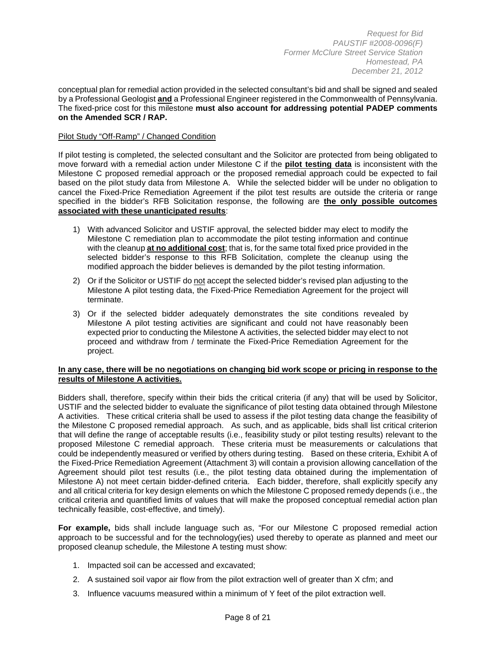conceptual plan for remedial action provided in the selected consultant's bid and shall be signed and sealed by a Professional Geologist **and** a Professional Engineer registered in the Commonwealth of Pennsylvania. The fixed-price cost for this milestone **must also account for addressing potential PADEP comments on the Amended SCR / RAP.**

#### Pilot Study "Off-Ramp" / Changed Condition

If pilot testing is completed, the selected consultant and the Solicitor are protected from being obligated to move forward with a remedial action under Milestone C if the **pilot testing data** is inconsistent with the Milestone C proposed remedial approach or the proposed remedial approach could be expected to fail based on the pilot study data from Milestone A. While the selected bidder will be under no obligation to cancel the Fixed-Price Remediation Agreement if the pilot test results are outside the criteria or range specified in the bidder's RFB Solicitation response, the following are **the only possible outcomes associated with these unanticipated results**:

- 1) With advanced Solicitor and USTIF approval, the selected bidder may elect to modify the Milestone C remediation plan to accommodate the pilot testing information and continue with the cleanup **at no additional cost**; that is, for the same total fixed price provided in the selected bidder's response to this RFB Solicitation, complete the cleanup using the modified approach the bidder believes is demanded by the pilot testing information.
- 2) Or if the Solicitor or USTIF do not accept the selected bidder's revised plan adjusting to the Milestone A pilot testing data, the Fixed-Price Remediation Agreement for the project will terminate.
- 3) Or if the selected bidder adequately demonstrates the site conditions revealed by Milestone A pilot testing activities are significant and could not have reasonably been expected prior to conducting the Milestone A activities, the selected bidder may elect to not proceed and withdraw from / terminate the Fixed-Price Remediation Agreement for the project.

#### **In any case, there will be no negotiations on changing bid work scope or pricing in response to the results of Milestone A activities.**

Bidders shall, therefore, specify within their bids the critical criteria (if any) that will be used by Solicitor, USTIF and the selected bidder to evaluate the significance of pilot testing data obtained through Milestone A activities. These critical criteria shall be used to assess if the pilot testing data change the feasibility of the Milestone C proposed remedial approach. As such, and as applicable, bids shall list critical criterion that will define the range of acceptable results (i.e., feasibility study or pilot testing results) relevant to the proposed Milestone C remedial approach. These criteria must be measurements or calculations that could be independently measured or verified by others during testing. Based on these criteria, Exhibit A of the Fixed-Price Remediation Agreement (Attachment 3) will contain a provision allowing cancellation of the Agreement should pilot test results (i.e., the pilot testing data obtained during the implementation of Milestone A) not meet certain bidder-defined criteria. Each bidder, therefore, shall explicitly specify any and all critical criteria for key design elements on which the Milestone C proposed remedy depends (i.e., the critical criteria and quantified limits of values that will make the proposed conceptual remedial action plan technically feasible, cost-effective, and timely).

**For example,** bids shall include language such as, "For our Milestone C proposed remedial action approach to be successful and for the technology(ies) used thereby to operate as planned and meet our proposed cleanup schedule, the Milestone A testing must show:

- 1. Impacted soil can be accessed and excavated;
- 2. A sustained soil vapor air flow from the pilot extraction well of greater than X cfm; and
- 3. Influence vacuums measured within a minimum of Y feet of the pilot extraction well.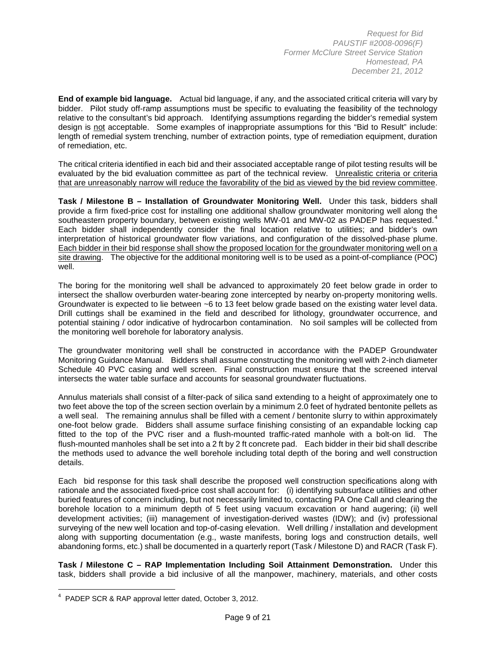**End of example bid language.** Actual bid language, if any, and the associated critical criteria will vary by bidder. Pilot study off-ramp assumptions must be specific to evaluating the feasibility of the technology relative to the consultant's bid approach. Identifying assumptions regarding the bidder's remedial system design is not acceptable. Some examples of inappropriate assumptions for this "Bid to Result" include: length of remedial system trenching, number of extraction points, type of remediation equipment, duration of remediation, etc.

The critical criteria identified in each bid and their associated acceptable range of pilot testing results will be evaluated by the bid evaluation committee as part of the technical review. Unrealistic criteria or criteria that are unreasonably narrow will reduce the favorability of the bid as viewed by the bid review committee.

**Task / Milestone B – Installation of Groundwater Monitoring Well.** Under this task, bidders shall provide a firm fixed-price cost for installing one additional shallow groundwater monitoring well along the southeastern property boundary, between existing wells MW-01 and MW-02 as PADEP has requested. [4](#page-8-0) Each bidder shall independently consider the final location relative to utilities; and bidder's own interpretation of historical groundwater flow variations, and configuration of the dissolved-phase plume. Each bidder in their bid response shall show the proposed location for the groundwater monitoring well on a site drawing. The objective for the additional monitoring well is to be used as a point-of-compliance (POC) well.

The boring for the monitoring well shall be advanced to approximately 20 feet below grade in order to intersect the shallow overburden water-bearing zone intercepted by nearby on-property monitoring wells. Groundwater is expected to lie between ~6 to 13 feet below grade based on the existing water level data. Drill cuttings shall be examined in the field and described for lithology, groundwater occurrence, and potential staining / odor indicative of hydrocarbon contamination. No soil samples will be collected from the monitoring well borehole for laboratory analysis.

The groundwater monitoring well shall be constructed in accordance with the PADEP Groundwater Monitoring Guidance Manual. Bidders shall assume constructing the monitoring well with 2-inch diameter Schedule 40 PVC casing and well screen. Final construction must ensure that the screened interval intersects the water table surface and accounts for seasonal groundwater fluctuations.

Annulus materials shall consist of a filter-pack of silica sand extending to a height of approximately one to two feet above the top of the screen section overlain by a minimum 2.0 feet of hydrated bentonite pellets as a well seal. The remaining annulus shall be filled with a cement / bentonite slurry to within approximately one-foot below grade. Bidders shall assume surface finishing consisting of an expandable locking cap fitted to the top of the PVC riser and a flush-mounted traffic-rated manhole with a bolt-on lid. The flush-mounted manholes shall be set into a 2 ft by 2 ft concrete pad. Each bidder in their bid shall describe the methods used to advance the well borehole including total depth of the boring and well construction details.

Each bid response for this task shall describe the proposed well construction specifications along with rationale and the associated fixed-price cost shall account for: (i) identifying subsurface utilities and other buried features of concern including, but not necessarily limited to, contacting PA One Call and clearing the borehole location to a minimum depth of 5 feet using vacuum excavation or hand augering; (ii) well development activities; (iii) management of investigation-derived wastes (IDW); and (iv) professional surveying of the new well location and top-of-casing elevation. Well drilling / installation and development along with supporting documentation (e.g., waste manifests, boring logs and construction details, well abandoning forms, etc.) shall be documented in a quarterly report (Task / Milestone D) and RACR (Task F).

**Task / Milestone C – RAP Implementation Including Soil Attainment Demonstration.** Under this task, bidders shall provide a bid inclusive of all the manpower, machinery, materials, and other costs

l

<span id="page-8-0"></span> $4$  PADEP SCR & RAP approval letter dated, October 3, 2012.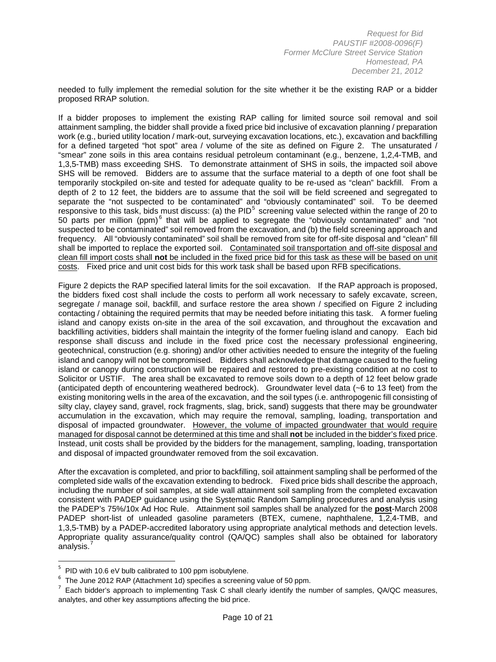needed to fully implement the remedial solution for the site whether it be the existing RAP or a bidder proposed RRAP solution.

If a bidder proposes to implement the existing RAP calling for limited source soil removal and soil attainment sampling, the bidder shall provide a fixed price bid inclusive of excavation planning / preparation work (e.g., buried utility location / mark-out, surveying excavation locations, etc.), excavation and backfilling for a defined targeted "hot spot" area / volume of the site as defined on Figure 2. The unsaturated / "smear" zone soils in this area contains residual petroleum contaminant (e.g., benzene, 1,2,4-TMB, and 1,3,5-TMB) mass exceeding SHS. To demonstrate attainment of SHS in soils, the impacted soil above SHS will be removed. Bidders are to assume that the surface material to a depth of one foot shall be temporarily stockpiled on-site and tested for adequate quality to be re-used as "clean" backfill. From a depth of 2 to 12 feet, the bidders are to assume that the soil will be field screened and segregated to separate the "not suspected to be contaminated" and "obviously contaminated" soil. To be deemed responsive to this task, bids must discuss: (a) the PID<sup>[5](#page-9-0)</sup> screening value selected within the range of 20 to 50 parts per million (ppm)<sup>[6](#page-9-1)</sup> that will be applied to segregate the "obviously contaminated" and "not suspected to be contaminated" soil removed from the excavation, and (b) the field screening approach and frequency. All "obviously contaminated" soil shall be removed from site for off-site disposal and "clean" fill shall be imported to replace the exported soil. Contaminated soil transportation and off-site disposal and clean fill import costs shall **not** be included in the fixed price bid for this task as these will be based on unit costs. Fixed price and unit cost bids for this work task shall be based upon RFB specifications.

Figure 2 depicts the RAP specified lateral limits for the soil excavation. If the RAP approach is proposed, the bidders fixed cost shall include the costs to perform all work necessary to safely excavate, screen, segregate / manage soil, backfill, and surface restore the area shown / specified on Figure 2 including contacting / obtaining the required permits that may be needed before initiating this task. A former fueling island and canopy exists on-site in the area of the soil excavation, and throughout the excavation and backfilling activities, bidders shall maintain the integrity of the former fueling island and canopy. Each bid response shall discuss and include in the fixed price cost the necessary professional engineering, geotechnical, construction (e.g. shoring) and/or other activities needed to ensure the integrity of the fueling island and canopy will not be compromised. Bidders shall acknowledge that damage caused to the fueling island or canopy during construction will be repaired and restored to pre-existing condition at no cost to Solicitor or USTIF. The area shall be excavated to remove soils down to a depth of 12 feet below grade (anticipated depth of encountering weathered bedrock). Groundwater level data (~6 to 13 feet) from the existing monitoring wells in the area of the excavation, and the soil types (i.e. anthropogenic fill consisting of silty clay, clayey sand, gravel, rock fragments, slag, brick, sand) suggests that there may be groundwater accumulation in the excavation, which may require the removal, sampling, loading, transportation and disposal of impacted groundwater. However, the volume of impacted groundwater that would require managed for disposal cannot be determined at this time and shall **not** be included in the bidder's fixed price. Instead, unit costs shall be provided by the bidders for the management, sampling, loading, transportation and disposal of impacted groundwater removed from the soil excavation.

After the excavation is completed, and prior to backfilling, soil attainment sampling shall be performed of the completed side walls of the excavation extending to bedrock. Fixed price bids shall describe the approach, including the number of soil samples, at side wall attainment soil sampling from the completed excavation consistent with PADEP guidance using the Systematic Random Sampling procedures and analysis using the PADEP's 75%/10x Ad Hoc Rule. Attainment soil samples shall be analyzed for the **post**-March 2008 PADEP short-list of unleaded gasoline parameters (BTEX, cumene, naphthalene, 1,2,4-TMB, and 1,3,5-TMB) by a PADEP-accredited laboratory using appropriate analytical methods and detection levels. Appropriate quality assurance/quality control (QA/QC) samples shall also be obtained for laboratory analysis.<sup>[7](#page-9-2)</sup>

 $\overline{\phantom{a}}$ 

<span id="page-9-0"></span> $5$  PID with 10.6 eV bulb calibrated to 100 ppm isobutylene.<br> $6$  The June 2012 RAP (Attachment 1d) specifies a screening value of 50 ppm.

<span id="page-9-2"></span><span id="page-9-1"></span> $^7$  Each bidder's approach to implementing Task C shall clearly identify the number of samples, QA/QC measures, analytes, and other key assumptions affecting the bid price.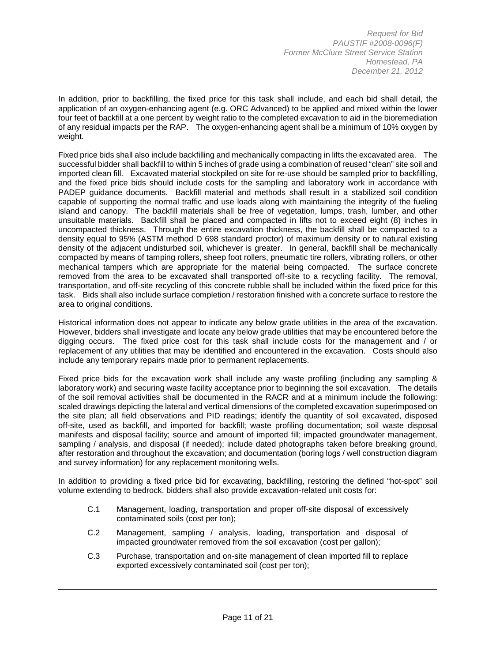In addition, prior to backfilling, the fixed price for this task shall include, and each bid shall detail, the application of an oxygen-enhancing agent (e.g. ORC Advanced) to be applied and mixed within the lower four feet of backfill at a one percent by weight ratio to the completed excavation to aid in the bioremediation of any residual impacts per the RAP. The oxygen-enhancing agent shall be a minimum of 10% oxygen by weight.

Fixed price bids shall also include backfilling and mechanically compacting in lifts the excavated area. The successful bidder shall backfill to within 5 inches of grade using a combination of reused "clean" site soil and imported clean fill. Excavated material stockpiled on site for re-use should be sampled prior to backfilling, and the fixed price bids should include costs for the sampling and laboratory work in accordance with PADEP guidance documents. Backfill material and methods shall result in a stabilized soil condition capable of supporting the normal traffic and use loads along with maintaining the integrity of the fueling island and canopy. The backfill materials shall be free of vegetation, lumps, trash, lumber, and other unsuitable materials. Backfill shall be placed and compacted in lifts not to exceed eight (8) inches in uncompacted thickness. Through the entire excavation thickness, the backfill shall be compacted to a density equal to 95% (ASTM method D 698 standard proctor) of maximum density or to natural existing density of the adjacent undisturbed soil, whichever is greater. In general, backfill shall be mechanically compacted by means of tamping rollers, sheep foot rollers, pneumatic tire rollers, vibrating rollers, or other mechanical tampers which are appropriate for the material being compacted. The surface concrete removed from the area to be excavated shall transported off-site to a recycling facility. The removal, transportation, and off-site recycling of this concrete rubble shall be included within the fixed price for this task. Bids shall also include surface completion / restoration finished with a concrete surface to restore the area to original conditions.

Historical information does not appear to indicate any below grade utilities in the area of the excavation. However, bidders shall investigate and locate any below grade utilities that may be encountered before the digging occurs. The fixed price cost for this task shall include costs for the management and / or replacement of any utilities that may be identified and encountered in the excavation. Costs should also include any temporary repairs made prior to permanent replacements.

Fixed price bids for the excavation work shall include any waste profiling (including any sampling & laboratory work) and securing waste facility acceptance prior to beginning the soil excavation. The details of the soil removal activities shall be documented in the RACR and at a minimum include the following: scaled drawings depicting the lateral and vertical dimensions of the completed excavation superimposed on the site plan; all field observations and PID readings; identify the quantity of soil excavated, disposed off-site, used as backfill, and imported for backfill; waste profiling documentation; soil waste disposal manifests and disposal facility; source and amount of imported fill; impacted groundwater management, sampling / analysis, and disposal (if needed); include dated photographs taken before breaking ground, after restoration and throughout the excavation; and documentation (boring logs / well construction diagram and survey information) for any replacement monitoring wells.

In addition to providing a fixed price bid for excavating, backfilling, restoring the defined "hot-spot" soil volume extending to bedrock, bidders shall also provide excavation-related unit costs for:

- C.1 Management, loading, transportation and proper off-site disposal of excessively contaminated soils (cost per ton);
- C.2 Management, sampling / analysis, loading, transportation and disposal of impacted groundwater removed from the soil excavation (cost per gallon);
- C.3 Purchase, transportation and on-site management of clean imported fill to replace exported excessively contaminated soil (cost per ton);

l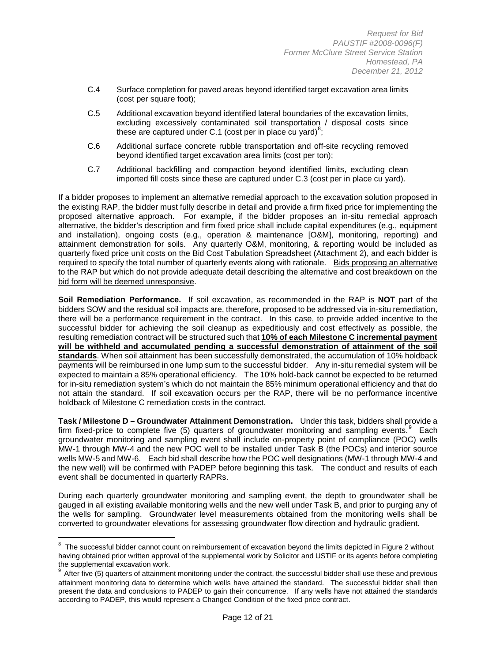- C.4 Surface completion for paved areas beyond identified target excavation area limits (cost per square foot);
- C.5 Additional excavation beyond identified lateral boundaries of the excavation limits, excluding excessively contaminated soil transportation / disposal costs since these are captured under C.1 (cost per in place cu yard)<sup>[8](#page-11-0)</sup>;
- C.6 Additional surface concrete rubble transportation and off-site recycling removed beyond identified target excavation area limits (cost per ton);
- C.7 Additional backfilling and compaction beyond identified limits, excluding clean imported fill costs since these are captured under C.3 (cost per in place cu yard).

If a bidder proposes to implement an alternative remedial approach to the excavation solution proposed in the existing RAP, the bidder must fully describe in detail and provide a firm fixed price for implementing the proposed alternative approach. For example, if the bidder proposes an in-situ remedial approach alternative, the bidder's description and firm fixed price shall include capital expenditures (e.g., equipment and installation), ongoing costs (e.g., operation & maintenance [O&M], monitoring, reporting) and attainment demonstration for soils. Any quarterly O&M, monitoring, & reporting would be included as quarterly fixed price unit costs on the Bid Cost Tabulation Spreadsheet (Attachment 2), and each bidder is required to specify the total number of quarterly events along with rationale. Bids proposing an alternative to the RAP but which do not provide adequate detail describing the alternative and cost breakdown on the bid form will be deemed unresponsive.

**Soil Remediation Performance.** If soil excavation, as recommended in the RAP is **NOT** part of the bidders SOW and the residual soil impacts are, therefore, proposed to be addressed via in-situ remediation, there will be a performance requirement in the contract. In this case, to provide added incentive to the successful bidder for achieving the soil cleanup as expeditiously and cost effectively as possible, the resulting remediation contract will be structured such that **10% of each Milestone C incremental payment will be withheld and accumulated pending a successful demonstration of attainment of the soil standards**. When soil attainment has been successfully demonstrated, the accumulation of 10% holdback payments will be reimbursed in one lump sum to the successful bidder. Any in-situ remedial system will be expected to maintain a 85% operational efficiency. The 10% hold-back cannot be expected to be returned for in-situ remediation system's which do not maintain the 85% minimum operational efficiency and that do not attain the standard. If soil excavation occurs per the RAP, there will be no performance incentive holdback of Milestone C remediation costs in the contract.

**Task / Milestone D – Groundwater Attainment Demonstration.** Under this task, bidders shall provide a firm fixed-price to complete five (5) quarters of groundwater monitoring and sampling events.<sup>[9](#page-11-1)</sup> Each groundwater monitoring and sampling event shall include on-property point of compliance (POC) wells MW-1 through MW-4 and the new POC well to be installed under Task B (the POCs) and interior source wells MW-5 and MW-6. Each bid shall describe how the POC well designations (MW-1 through MW-4 and the new well) will be confirmed with PADEP before beginning this task. The conduct and results of each event shall be documented in quarterly RAPRs.

During each quarterly groundwater monitoring and sampling event, the depth to groundwater shall be gauged in all existing available monitoring wells and the new well under Task B, and prior to purging any of the wells for sampling. Groundwater level measurements obtained from the monitoring wells shall be converted to groundwater elevations for assessing groundwater flow direction and hydraulic gradient.

 $\overline{\phantom{a}}$ 

<span id="page-11-0"></span> $8$  The successful bidder cannot count on reimbursement of excavation beyond the limits depicted in Figure 2 without having obtained prior written approval of the supplemental work by Solicitor and USTIF or its agents before completing the supplemental excavation work.

<span id="page-11-1"></span>After five (5) quarters of attainment monitoring under the contract, the successful bidder shall use these and previous attainment monitoring data to determine which wells have attained the standard. The successful bidder shall then present the data and conclusions to PADEP to gain their concurrence. If any wells have not attained the standards according to PADEP, this would represent a Changed Condition of the fixed price contract.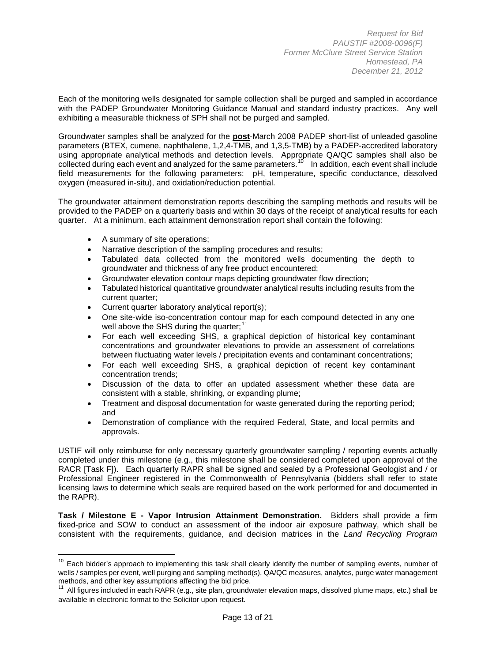Each of the monitoring wells designated for sample collection shall be purged and sampled in accordance with the PADEP Groundwater Monitoring Guidance Manual and standard industry practices. Any well exhibiting a measurable thickness of SPH shall not be purged and sampled.

Groundwater samples shall be analyzed for the **post**-March 2008 PADEP short-list of unleaded gasoline parameters (BTEX, cumene, naphthalene, 1,2,4-TMB, and 1,3,5-TMB) by a PADEP-accredited laboratory using appropriate analytical methods and detection levels. Appropriate QA/QC samples shall also be collected during each event and analyzed for the same parameters.<sup>10</sup> In addition, each event shall include field measurements for the following parameters: pH, temperature, specific conductance, dissolved oxygen (measured in-situ), and oxidation/reduction potential.

The groundwater attainment demonstration reports describing the sampling methods and results will be provided to the PADEP on a quarterly basis and within 30 days of the receipt of analytical results for each quarter. At a minimum, each attainment demonstration report shall contain the following:

• A summary of site operations;

 $\overline{\phantom{a}}$ 

- Narrative description of the sampling procedures and results;
- Tabulated data collected from the monitored wells documenting the depth to groundwater and thickness of any free product encountered;
- Groundwater elevation contour maps depicting groundwater flow direction;
- Tabulated historical quantitative groundwater analytical results including results from the current quarter;
- Current quarter laboratory analytical report(s);
- One site-wide iso-concentration contour map for each compound detected in any one well above the SHS during the quarter;<sup>[11](#page-12-1)</sup>
- For each well exceeding SHS, a graphical depiction of historical key contaminant concentrations and groundwater elevations to provide an assessment of correlations between fluctuating water levels / precipitation events and contaminant concentrations;
- For each well exceeding SHS, a graphical depiction of recent key contaminant concentration trends;
- Discussion of the data to offer an updated assessment whether these data are consistent with a stable, shrinking, or expanding plume;
- Treatment and disposal documentation for waste generated during the reporting period; and
- Demonstration of compliance with the required Federal, State, and local permits and approvals.

USTIF will only reimburse for only necessary quarterly groundwater sampling / reporting events actually completed under this milestone (e.g., this milestone shall be considered completed upon approval of the RACR [Task F]). Each quarterly RAPR shall be signed and sealed by a Professional Geologist and / or Professional Engineer registered in the Commonwealth of Pennsylvania (bidders shall refer to state licensing laws to determine which seals are required based on the work performed for and documented in the RAPR).

**Task / Milestone E - Vapor Intrusion Attainment Demonstration.** Bidders shall provide a firm fixed-price and SOW to conduct an assessment of the indoor air exposure pathway, which shall be consistent with the requirements, guidance, and decision matrices in the *Land Recycling Program* 

<span id="page-12-0"></span><sup>&</sup>lt;sup>10</sup> Each bidder's approach to implementing this task shall clearly identify the number of sampling events, number of wells / samples per event, well purging and sampling method(s), QA/QC measures, analytes, purge water management methods, and other key assumptions affecting the bid price.

<span id="page-12-1"></span> $11$  All figures included in each RAPR (e.g., site plan, groundwater elevation maps, dissolved plume maps, etc.) shall be available in electronic format to the Solicitor upon request.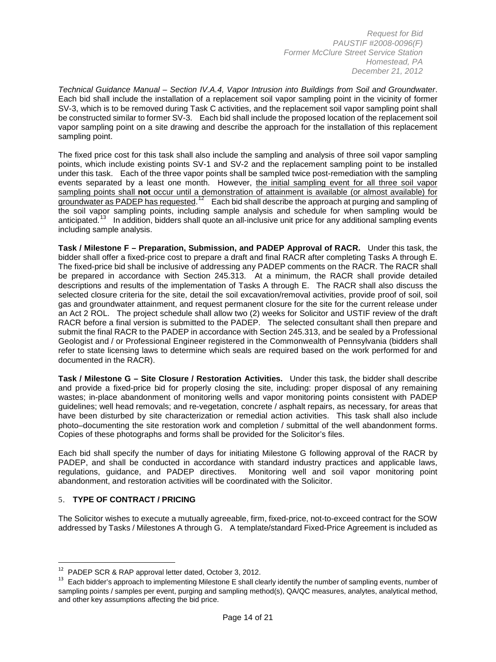*Technical Guidance Manual – Section IV.A.4, Vapor Intrusion into Buildings from Soil and Groundwater*. Each bid shall include the installation of a replacement soil vapor sampling point in the vicinity of former SV-3, which is to be removed during Task C activities, and the replacement soil vapor sampling point shall be constructed similar to former SV-3. Each bid shall include the proposed location of the replacement soil vapor sampling point on a site drawing and describe the approach for the installation of this replacement sampling point.

The fixed price cost for this task shall also include the sampling and analysis of three soil vapor sampling points, which include existing points SV-1 and SV-2 and the replacement sampling point to be installed under this task. Each of the three vapor points shall be sampled twice post-remediation with the sampling events separated by a least one month. However, the initial sampling event for all three soil vapor sampling points shall **not** occur until a demonstration of attainment is available (or almost available) for groundwater as PADEP has requested.<sup>[12](#page-13-0)</sup> Each bid shall describe the approach at purging and sampling of the soil vapor sampling points, including sample analysis and schedule for when sampling would be anticipated.<sup>13</sup> In addition, bidders shall quote an all-inclusive unit price for any additional sampling events including sample analysis.

**Task / Milestone F – Preparation, Submission, and PADEP Approval of RACR.** Under this task, the bidder shall offer a fixed-price cost to prepare a draft and final RACR after completing Tasks A through E. The fixed-price bid shall be inclusive of addressing any PADEP comments on the RACR. The RACR shall be prepared in accordance with Section 245.313. At a minimum, the RACR shall provide detailed descriptions and results of the implementation of Tasks A through E. The RACR shall also discuss the selected closure criteria for the site, detail the soil excavation/removal activities, provide proof of soil, soil gas and groundwater attainment, and request permanent closure for the site for the current release under an Act 2 ROL. The project schedule shall allow two (2) weeks for Solicitor and USTIF review of the draft RACR before a final version is submitted to the PADEP. The selected consultant shall then prepare and submit the final RACR to the PADEP in accordance with Section 245.313, and be sealed by a Professional Geologist and / or Professional Engineer registered in the Commonwealth of Pennsylvania (bidders shall refer to state licensing laws to determine which seals are required based on the work performed for and documented in the RACR).

**Task / Milestone G – Site Closure / Restoration Activities.** Under this task, the bidder shall describe and provide a fixed-price bid for properly closing the site, including: proper disposal of any remaining wastes; in-place abandonment of monitoring wells and vapor monitoring points consistent with PADEP guidelines; well head removals; and re-vegetation, concrete / asphalt repairs, as necessary, for areas that have been disturbed by site characterization or remedial action activities. This task shall also include photo–documenting the site restoration work and completion / submittal of the well abandonment forms. Copies of these photographs and forms shall be provided for the Solicitor's files.

Each bid shall specify the number of days for initiating Milestone G following approval of the RACR by PADEP, and shall be conducted in accordance with standard industry practices and applicable laws, regulations, guidance, and PADEP directives. Monitoring well and soil vapor monitoring point abandonment, and restoration activities will be coordinated with the Solicitor.

# 5. **TYPE OF CONTRACT / PRICING**

l

The Solicitor wishes to execute a mutually agreeable, firm, fixed-price, not-to-exceed contract for the SOW addressed by Tasks / Milestones A through G. A template/standard Fixed-Price Agreement is included as

<span id="page-13-0"></span> $12$  PADEP SCR & RAP approval letter dated, October 3, 2012.

<span id="page-13-1"></span><sup>&</sup>lt;sup>13</sup> Each bidder's approach to implementing Milestone E shall clearly identify the number of sampling events, number of sampling points / samples per event, purging and sampling method(s), QA/QC measures, analytes, analytical method, and other key assumptions affecting the bid price.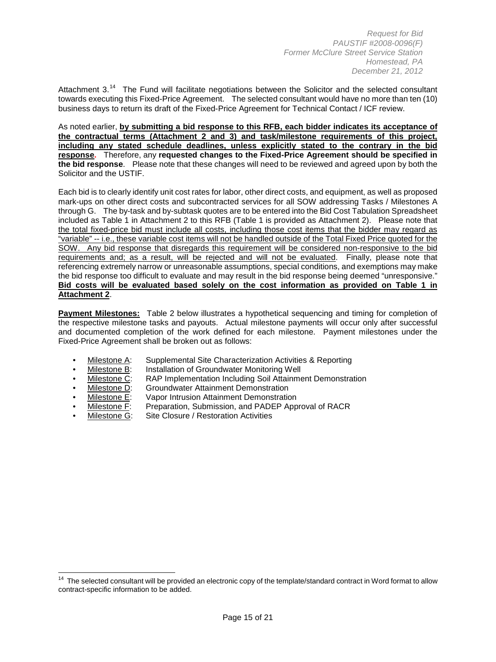Attachment 3.<sup>14</sup> The Fund will facilitate negotiations between the Solicitor and the selected consultant towards executing this Fixed-Price Agreement. The selected consultant would have no more than ten (10) business days to return its draft of the Fixed-Price Agreement for Technical Contact / ICF review.

As noted earlier, **by submitting a bid response to this RFB, each bidder indicates its acceptance of the contractual terms (Attachment 2 and 3) and task/milestone requirements of this project, including any stated schedule deadlines, unless explicitly stated to the contrary in the bid response.** Therefore, any **requested changes to the Fixed-Price Agreement should be specified in the bid response**. Please note that these changes will need to be reviewed and agreed upon by both the Solicitor and the USTIF.

Each bid is to clearly identify unit cost rates for labor, other direct costs, and equipment, as well as proposed mark-ups on other direct costs and subcontracted services for all SOW addressing Tasks / Milestones A through G. The by-task and by-subtask quotes are to be entered into the Bid Cost Tabulation Spreadsheet included as Table 1 in Attachment 2 to this RFB (Table 1 is provided as Attachment 2). Please note that the total fixed-price bid must include all costs, including those cost items that the bidder may regard as "variable" -- i.e., these variable cost items will not be handled outside of the Total Fixed Price quoted for the SOW. Any bid response that disregards this requirement will be considered non-responsive to the bid requirements and; as a result, will be rejected and will not be evaluated. Finally, please note that referencing extremely narrow or unreasonable assumptions, special conditions, and exemptions may make the bid response too difficult to evaluate and may result in the bid response being deemed "unresponsive." **Bid costs will be evaluated based solely on the cost information as provided on Table 1 in Attachment 2**.

**Payment Milestones:** Table 2 below illustrates a hypothetical sequencing and timing for completion of the respective milestone tasks and payouts. Actual milestone payments will occur only after successful and documented completion of the work defined for each milestone. Payment milestones under the Fixed-Price Agreement shall be broken out as follows:

- Milestone A: Supplemental Site Characterization Activities & Reporting
- Milestone B: Installation of Groundwater Monitoring Well
- Milestone C: RAP Implementation Including Soil Attainment Demonstration
- Milestone D: Groundwater Attainment Demonstration
- **Milestone E:** Vapor Intrusion Attainment Demonstration<br>Milestone F: Preparation, Submission, and PADEP App
- **Milestone F:** Preparation, Submission, and PADEP Approval of RACR<br>• Milestone G: Site Closure / Restoration Activities
- Site Closure / Restoration Activities

l

<span id="page-14-0"></span><sup>&</sup>lt;sup>14</sup> The selected consultant will be provided an electronic copy of the template/standard contract in Word format to allow contract-specific information to be added.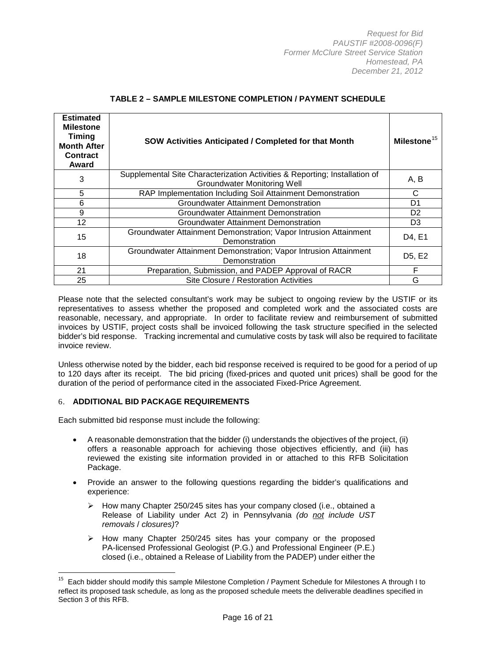| <b>Estimated</b><br><b>Milestone</b><br><b>Timing</b><br><b>Month After</b><br><b>Contract</b><br>Award | <b>SOW Activities Anticipated / Completed for that Month</b>                                                     | Milestone <sup>15</sup>         |
|---------------------------------------------------------------------------------------------------------|------------------------------------------------------------------------------------------------------------------|---------------------------------|
| 3                                                                                                       | Supplemental Site Characterization Activities & Reporting; Installation of<br><b>Groundwater Monitoring Well</b> | A, B                            |
| 5                                                                                                       | RAP Implementation Including Soil Attainment Demonstration                                                       | C                               |
| 6                                                                                                       | <b>Groundwater Attainment Demonstration</b>                                                                      | D1                              |
| 9                                                                                                       | Groundwater Attainment Demonstration                                                                             | D <sub>2</sub>                  |
| 12                                                                                                      | Groundwater Attainment Demonstration                                                                             | D <sub>3</sub>                  |
| 15                                                                                                      | Groundwater Attainment Demonstration; Vapor Intrusion Attainment<br>Demonstration                                | D4, E1                          |
| 18                                                                                                      | Groundwater Attainment Demonstration; Vapor Intrusion Attainment<br>Demonstration                                | D <sub>5</sub> , E <sub>2</sub> |
| 21                                                                                                      | Preparation, Submission, and PADEP Approval of RACR                                                              | F                               |
| 25                                                                                                      | Site Closure / Restoration Activities                                                                            | G                               |

#### **TABLE 2 – SAMPLE MILESTONE COMPLETION / PAYMENT SCHEDULE**

Please note that the selected consultant's work may be subject to ongoing review by the USTIF or its representatives to assess whether the proposed and completed work and the associated costs are reasonable, necessary, and appropriate. In order to facilitate review and reimbursement of submitted invoices by USTIF, project costs shall be invoiced following the task structure specified in the selected bidder's bid response. Tracking incremental and cumulative costs by task will also be required to facilitate invoice review.

Unless otherwise noted by the bidder, each bid response received is required to be good for a period of up to 120 days after its receipt. The bid pricing (fixed-prices and quoted unit prices) shall be good for the duration of the period of performance cited in the associated Fixed-Price Agreement.

#### 6. **ADDITIONAL BID PACKAGE REQUIREMENTS**

l

Each submitted bid response must include the following:

- A reasonable demonstration that the bidder (i) understands the objectives of the project, (ii) offers a reasonable approach for achieving those objectives efficiently, and (iii) has reviewed the existing site information provided in or attached to this RFB Solicitation Package.
- Provide an answer to the following questions regarding the bidder's qualifications and experience:
	- $\triangleright$  How many Chapter 250/245 sites has your company closed (i.e., obtained a Release of Liability under Act 2) in Pennsylvania *(do not include UST removals* / *closures)*?
	- $\triangleright$  How many Chapter 250/245 sites has your company or the proposed PA-licensed Professional Geologist (P.G.) and Professional Engineer (P.E.) closed (i.e., obtained a Release of Liability from the PADEP) under either the

<span id="page-15-0"></span><sup>&</sup>lt;sup>15</sup> Each bidder should modify this sample Milestone Completion / Payment Schedule for Milestones A through I to reflect its proposed task schedule, as long as the proposed schedule meets the deliverable deadlines specified in Section 3 of this RFB.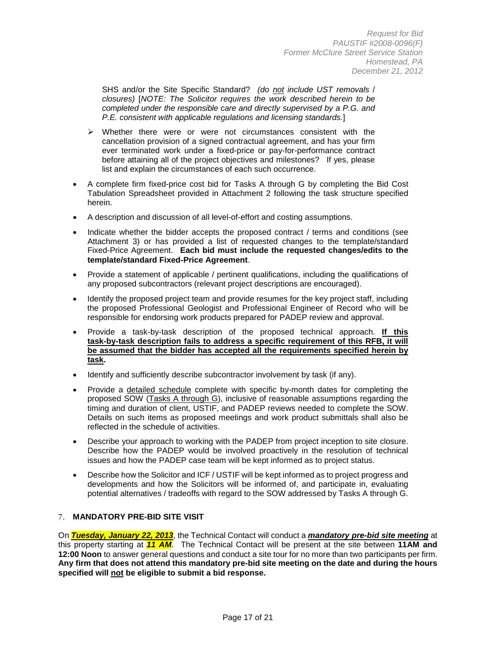SHS and/or the Site Specific Standard? *(do not include UST removals* / *closures)* [*NOTE: The Solicitor requires the work described herein to be completed under the responsible care and directly supervised by a P.G. and P.E. consistent with applicable regulations and licensing standards.*]

- $\triangleright$  Whether there were or were not circumstances consistent with the cancellation provision of a signed contractual agreement, and has your firm ever terminated work under a fixed-price or pay-for-performance contract before attaining all of the project objectives and milestones? If yes, please list and explain the circumstances of each such occurrence.
- A complete firm fixed-price cost bid for Tasks A through G by completing the Bid Cost Tabulation Spreadsheet provided in Attachment 2 following the task structure specified herein.
- A description and discussion of all level-of-effort and costing assumptions.
- Indicate whether the bidder accepts the proposed contract / terms and conditions (see Attachment 3) or has provided a list of requested changes to the template/standard Fixed-Price Agreement. **Each bid must include the requested changes/edits to the template/standard Fixed-Price Agreement**.
- Provide a statement of applicable / pertinent qualifications, including the qualifications of any proposed subcontractors (relevant project descriptions are encouraged).
- Identify the proposed project team and provide resumes for the key project staff, including the proposed Professional Geologist and Professional Engineer of Record who will be responsible for endorsing work products prepared for PADEP review and approval.
- Provide a task-by-task description of the proposed technical approach. **If this task-by-task description fails to address a specific requirement of this RFB, it will be assumed that the bidder has accepted all the requirements specified herein by task.**
- Identify and sufficiently describe subcontractor involvement by task (if any).
- Provide a detailed schedule complete with specific by-month dates for completing the proposed SOW (Tasks A through G), inclusive of reasonable assumptions regarding the timing and duration of client, USTIF, and PADEP reviews needed to complete the SOW. Details on such items as proposed meetings and work product submittals shall also be reflected in the schedule of activities.
- Describe your approach to working with the PADEP from project inception to site closure. Describe how the PADEP would be involved proactively in the resolution of technical issues and how the PADEP case team will be kept informed as to project status.
- Describe how the Solicitor and ICF / USTIF will be kept informed as to project progress and developments and how the Solicitors will be informed of, and participate in, evaluating potential alternatives / tradeoffs with regard to the SOW addressed by Tasks A through G.

# 7. **MANDATORY PRE-BID SITE VISIT**

On *Tuesday, January 22, 2013*, the Technical Contact will conduct a *mandatory pre-bid site meeting* at this property starting at *11 AM*. The Technical Contact will be present at the site between **11AM and 12:00 Noon** to answer general questions and conduct a site tour for no more than two participants per firm. **Any firm that does not attend this mandatory pre-bid site meeting on the date and during the hours specified will not be eligible to submit a bid response.**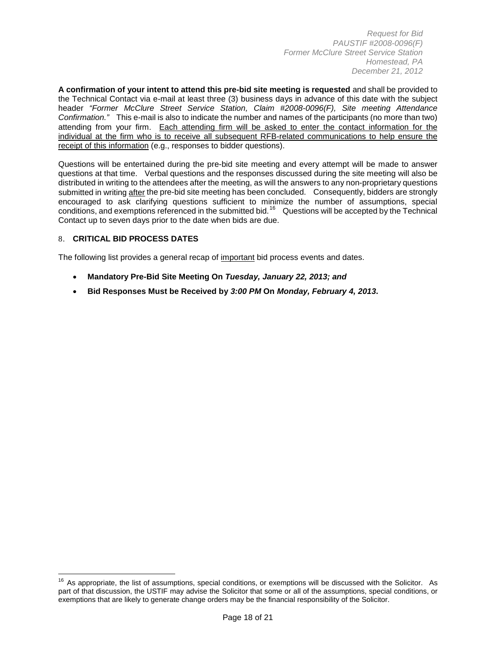**A confirmation of your intent to attend this pre-bid site meeting is requested** and shall be provided to the Technical Contact via e-mail at least three (3) business days in advance of this date with the subject header *"Former McClure Street Service Station, Claim #2008-0096(F), Site meeting Attendance Confirmation."* This e-mail is also to indicate the number and names of the participants (no more than two) attending from your firm. Each attending firm will be asked to enter the contact information for the individual at the firm who is to receive all subsequent RFB-related communications to help ensure the receipt of this information (e.g., responses to bidder questions).

Questions will be entertained during the pre-bid site meeting and every attempt will be made to answer questions at that time. Verbal questions and the responses discussed during the site meeting will also be distributed in writing to the attendees after the meeting, as will the answers to any non-proprietary questions submitted in writing after the pre-bid site meeting has been concluded. Consequently, bidders are strongly encouraged to ask clarifying questions sufficient to minimize the number of assumptions, special conditions, and exemptions referenced in the submitted bid.[16](#page-17-0) Questions will be accepted by the Technical Contact up to seven days prior to the date when bids are due.

# 8. **CRITICAL BID PROCESS DATES**

l

The following list provides a general recap of important bid process events and dates.

- **Mandatory Pre-Bid Site Meeting On** *Tuesday, January 22, 2013; and*
- **Bid Responses Must be Received by** *3:00 PM* **On** *Monday, February 4, 2013***.**

<span id="page-17-0"></span><sup>&</sup>lt;sup>16</sup> As appropriate, the list of assumptions, special conditions, or exemptions will be discussed with the Solicitor. As part of that discussion, the USTIF may advise the Solicitor that some or all of the assumptions, special conditions, or exemptions that are likely to generate change orders may be the financial responsibility of the Solicitor.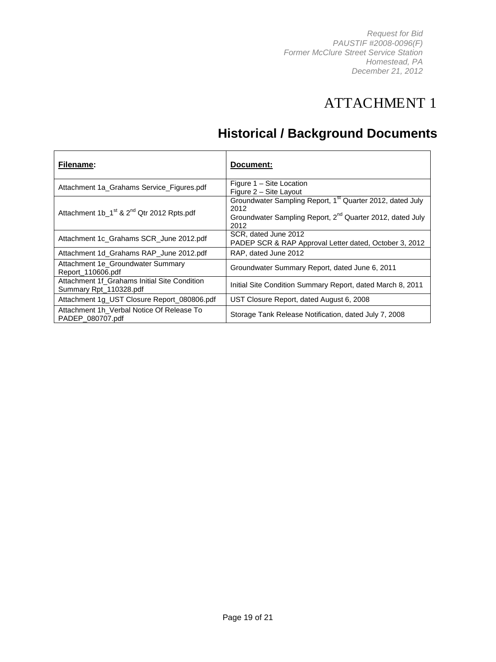# ATTACHMENT 1

# **Historical / Background Documents**

| Filename:                                                              | Document:                                                                                                                                                      |
|------------------------------------------------------------------------|----------------------------------------------------------------------------------------------------------------------------------------------------------------|
| Attachment 1a_Grahams Service_Figures.pdf                              | Figure 1 - Site Location<br>Figure 2 - Site Layout                                                                                                             |
| Attachment 1b_1 <sup>st</sup> & 2 <sup>nd</sup> Qtr 2012 Rpts.pdf      | Groundwater Sampling Report, 1 <sup>st</sup> Quarter 2012, dated July<br>2012<br>Groundwater Sampling Report, 2 <sup>nd</sup> Quarter 2012, dated July<br>2012 |
| Attachment 1c_Grahams SCR_June 2012.pdf                                | SCR, dated June 2012<br>PADEP SCR & RAP Approval Letter dated, October 3, 2012                                                                                 |
| Attachment 1d_Grahams RAP_June 2012.pdf                                | RAP, dated June 2012                                                                                                                                           |
| Attachment 1e_Groundwater Summary<br>Report 110606.pdf                 | Groundwater Summary Report, dated June 6, 2011                                                                                                                 |
| Attachment 1f_Grahams Initial Site Condition<br>Summary Rpt_110328.pdf | Initial Site Condition Summary Report, dated March 8, 2011                                                                                                     |
| Attachment 1g_UST Closure Report_080806.pdf                            | UST Closure Report, dated August 6, 2008                                                                                                                       |
| Attachment 1h Verbal Notice Of Release To<br>PADEP 080707.pdf          | Storage Tank Release Notification, dated July 7, 2008                                                                                                          |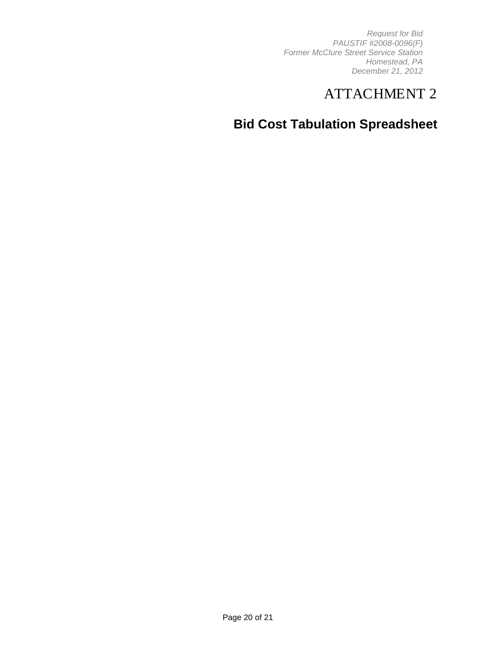# ATTACHMENT 2

# **Bid Cost Tabulation Spreadsheet**